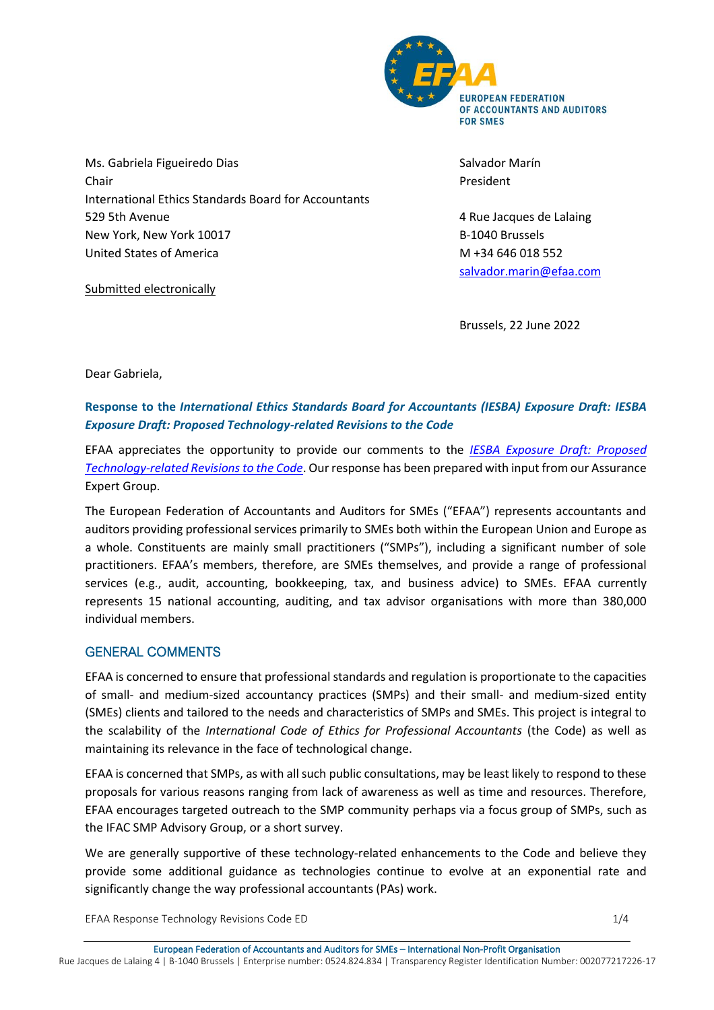

Ms. Gabriela Figueiredo Dias Chair International Ethics Standards Board for Accountants 529 5th Avenue New York, New York 10017 United States of America

Submitted electronically

Salvador Marín President

4 Rue Jacques de Lalaing B-1040 Brussels M +34 646 018 552 [salvador.marin@efaa.com](mailto:salvador.marin@efaa.com)

Brussels, 22 June 2022

Dear Gabriela,

# **Response to the** *International Ethics Standards Board for Accountants (IESBA) Exposure Draft: IESBA Exposure Draft: Proposed Technology-related Revisions to the Code*

EFAA appreciates the opportunity to provide our comments to the *[IESBA Exposure Draft: Proposed](https://www.ethicsboard.org/publications/proposed-revisions-definitions-listed-entity-and-public-interest-entity-code)  [Technology-related Revisions to the Code](https://www.ethicsboard.org/publications/proposed-revisions-definitions-listed-entity-and-public-interest-entity-code)*. Our response has been prepared with input from our Assurance Expert Group.

The European Federation of Accountants and Auditors for SMEs ("EFAA") represents accountants and auditors providing professional services primarily to SMEs both within the European Union and Europe as a whole. Constituents are mainly small practitioners ("SMPs"), including a significant number of sole practitioners. EFAA's members, therefore, are SMEs themselves, and provide a range of professional services (e.g., audit, accounting, bookkeeping, tax, and business advice) to SMEs. EFAA currently represents 15 national accounting, auditing, and tax advisor organisations with more than 380,000 individual members.

## GENERAL COMMENTS

EFAA is concerned to ensure that professional standards and regulation is proportionate to the capacities of small- and medium-sized accountancy practices (SMPs) and their small- and medium-sized entity (SMEs) clients and tailored to the needs and characteristics of SMPs and SMEs. This project is integral to the scalability of the *International Code of Ethics for Professional Accountants* (the Code) as well as maintaining its relevance in the face of technological change.

EFAA is concerned that SMPs, as with all such public consultations, may be least likely to respond to these proposals for various reasons ranging from lack of awareness as well as time and resources. Therefore, EFAA encourages targeted outreach to the SMP community perhaps via a focus group of SMPs, such as the IFAC SMP Advisory Group, or a short survey.

We are generally supportive of these technology-related enhancements to the Code and believe they provide some additional guidance as technologies continue to evolve at an exponential rate and significantly change the way professional accountants (PAs) work.

EFAA Response Technology Revisions Code ED 1/4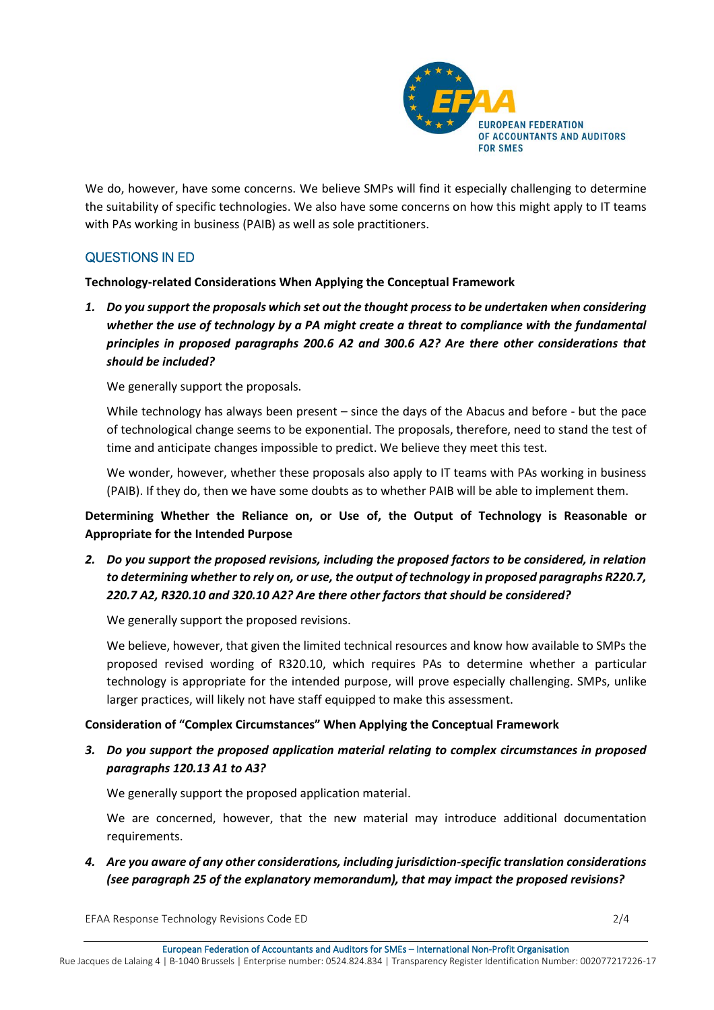

We do, however, have some concerns. We believe SMPs will find it especially challenging to determine the suitability of specific technologies. We also have some concerns on how this might apply to IT teams with PAs working in business (PAIB) as well as sole practitioners.

# QUESTIONS IN ED

#### **Technology-related Considerations When Applying the Conceptual Framework**

*1. Do you support the proposals which set out the thought process to be undertaken when considering whether the use of technology by a PA might create a threat to compliance with the fundamental principles in proposed paragraphs 200.6 A2 and 300.6 A2? Are there other considerations that should be included?*

We generally support the proposals.

While technology has always been present – since the days of the Abacus and before - but the pace of technological change seems to be exponential. The proposals, therefore, need to stand the test of time and anticipate changes impossible to predict. We believe they meet this test.

We wonder, however, whether these proposals also apply to IT teams with PAs working in business (PAIB). If they do, then we have some doubts as to whether PAIB will be able to implement them.

**Determining Whether the Reliance on, or Use of, the Output of Technology is Reasonable or Appropriate for the Intended Purpose**

*2. Do you support the proposed revisions, including the proposed factors to be considered, in relation to determining whether to rely on, or use, the output of technology in proposed paragraphs R220.7, 220.7 A2, R320.10 and 320.10 A2? Are there other factors that should be considered?*

We generally support the proposed revisions.

We believe, however, that given the limited technical resources and know how available to SMPs the proposed revised wording of R320.10, which requires PAs to determine whether a particular technology is appropriate for the intended purpose, will prove especially challenging. SMPs, unlike larger practices, will likely not have staff equipped to make this assessment.

## **Consideration of "Complex Circumstances" When Applying the Conceptual Framework**

*3. Do you support the proposed application material relating to complex circumstances in proposed paragraphs 120.13 A1 to A3?*

We generally support the proposed application material.

We are concerned, however, that the new material may introduce additional documentation requirements.

*4. Are you aware of any other considerations, including jurisdiction-specific translation considerations (see paragraph 25 of the explanatory memorandum), that may impact the proposed revisions?*

EFAA Response Technology Revisions Code ED 2/4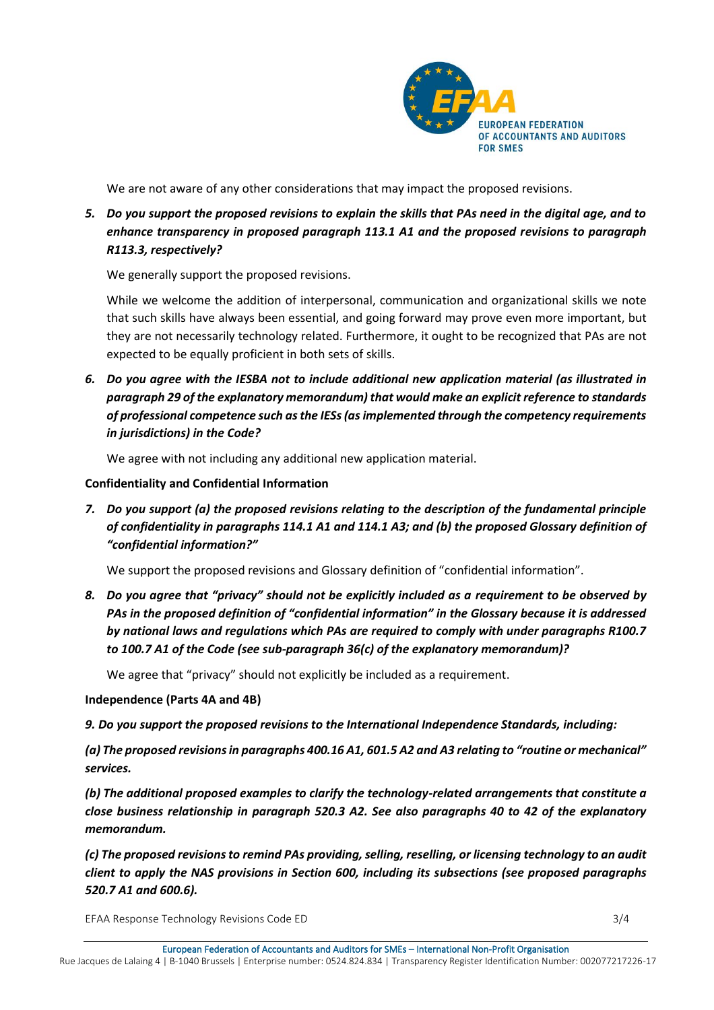

We are not aware of any other considerations that may impact the proposed revisions.

*5. Do you support the proposed revisions to explain the skills that PAs need in the digital age, and to enhance transparency in proposed paragraph 113.1 A1 and the proposed revisions to paragraph R113.3, respectively?*

We generally support the proposed revisions.

While we welcome the addition of interpersonal, communication and organizational skills we note that such skills have always been essential, and going forward may prove even more important, but they are not necessarily technology related. Furthermore, it ought to be recognized that PAs are not expected to be equally proficient in both sets of skills.

*6. Do you agree with the IESBA not to include additional new application material (as illustrated in paragraph 29 of the explanatory memorandum) that would make an explicit reference to standards of professional competence such as the IESs (as implemented through the competency requirements in jurisdictions) in the Code?*

We agree with not including any additional new application material.

#### **Confidentiality and Confidential Information**

*7. Do you support (a) the proposed revisions relating to the description of the fundamental principle of confidentiality in paragraphs 114.1 A1 and 114.1 A3; and (b) the proposed Glossary definition of "confidential information?"*

We support the proposed revisions and Glossary definition of "confidential information".

*8. Do you agree that "privacy" should not be explicitly included as a requirement to be observed by PAs in the proposed definition of "confidential information" in the Glossary because it is addressed by national laws and regulations which PAs are required to comply with under paragraphs R100.7 to 100.7 A1 of the Code (see sub-paragraph 36(c) of the explanatory memorandum)?*

We agree that "privacy" should not explicitly be included as a requirement.

#### **Independence (Parts 4A and 4B)**

*9. Do you support the proposed revisions to the International Independence Standards, including:*

*(a) The proposed revisions in paragraphs 400.16 A1, 601.5 A2 and A3 relating to "routine or mechanical" services.*

*(b) The additional proposed examples to clarify the technology-related arrangements that constitute a close business relationship in paragraph 520.3 A2. See also paragraphs 40 to 42 of the explanatory memorandum.*

*(c) The proposed revisions to remind PAs providing, selling, reselling, or licensing technology to an audit client to apply the NAS provisions in Section 600, including its subsections (see proposed paragraphs 520.7 A1 and 600.6).*

EFAA Response Technology Revisions Code ED 3/4